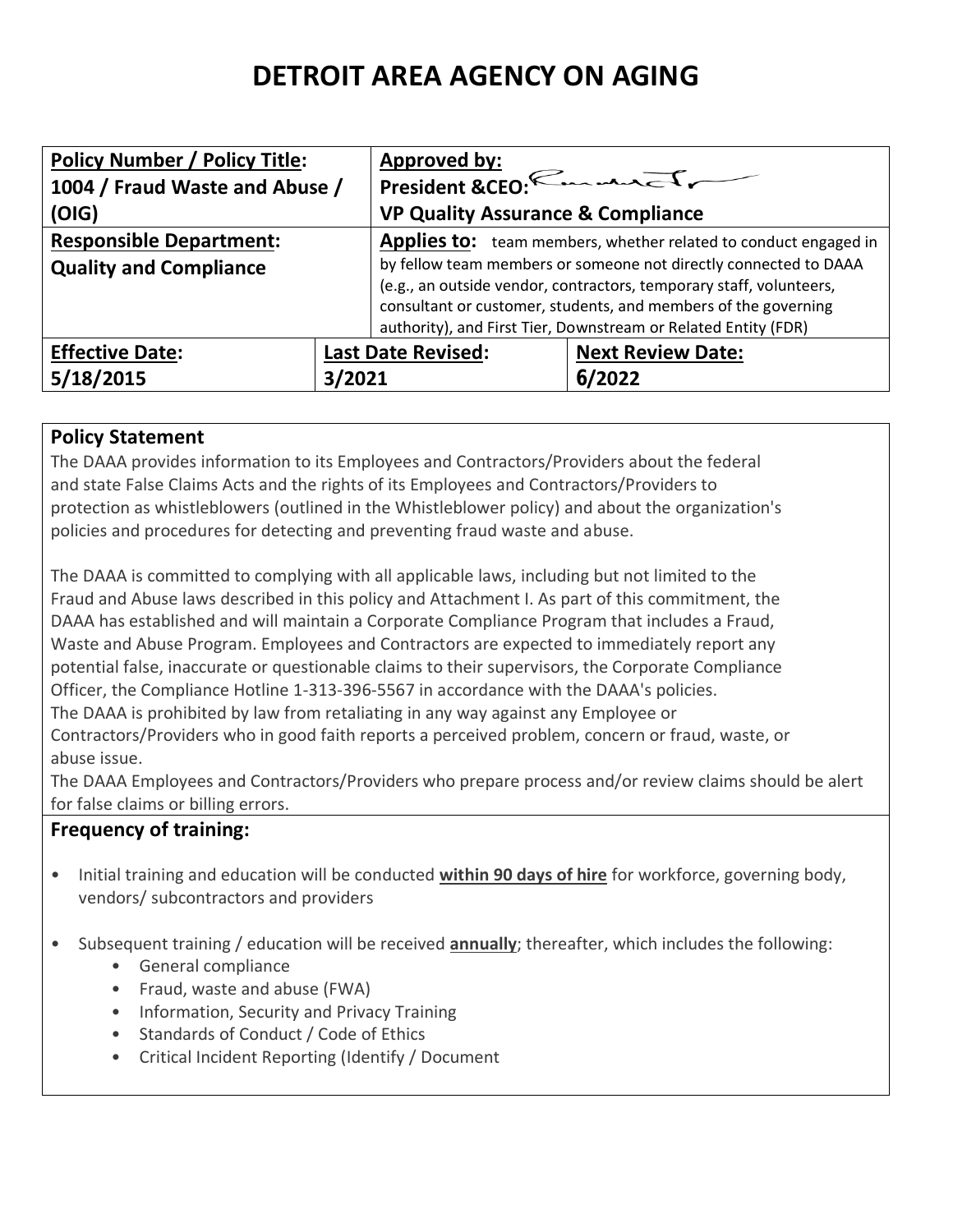# **DETROIT AREA AGENCY ON AGING**

| <b>Policy Number / Policy Title:</b> |        | <b>Approved by:</b>                                                                                                                                                                                                                                                         |                          |
|--------------------------------------|--------|-----------------------------------------------------------------------------------------------------------------------------------------------------------------------------------------------------------------------------------------------------------------------------|--------------------------|
| 1004 / Fraud Waste and Abuse /       |        | President &CEO: Emmanuely                                                                                                                                                                                                                                                   |                          |
| (OIG)                                |        | <b>VP Quality Assurance &amp; Compliance</b>                                                                                                                                                                                                                                |                          |
| <b>Responsible Department:</b>       |        | <b>Applies to:</b> team members, whether related to conduct engaged in                                                                                                                                                                                                      |                          |
| <b>Quality and Compliance</b>        |        | by fellow team members or someone not directly connected to DAAA<br>(e.g., an outside vendor, contractors, temporary staff, volunteers,<br>consultant or customer, students, and members of the governing<br>authority), and First Tier, Downstream or Related Entity (FDR) |                          |
| <b>Effective Date:</b>               |        | <b>Last Date Revised:</b>                                                                                                                                                                                                                                                   | <b>Next Review Date:</b> |
| 5/18/2015                            | 3/2021 |                                                                                                                                                                                                                                                                             | 6/2022                   |

#### **Policy Statement**

The DAAA provides information to its Employees and Contractors/Providers about the federal and state False Claims Acts and the rights of its Employees and Contractors/Providers to protection as whistleblowers (outlined in the Whistleblower policy) and about the organization's policies and procedures for detecting and preventing fraud waste and abuse.

The DAAA is committed to complying with all applicable laws, including but not limited to the Fraud and Abuse laws described in this policy and Attachment I. As part of this commitment, the DAAA has established and will maintain a Corporate Compliance Program that includes a Fraud, Waste and Abuse Program. Employees and Contractors are expected to immediately report any potential false, inaccurate or questionable claims to their supervisors, the Corporate Compliance Officer, the Compliance Hotline 1-313-396-5567 in accordance with the DAAA's policies. The DAAA is prohibited by law from retaliating in any way against any Employee or Contractors/Providers who in good faith reports a perceived problem, concern or fraud, waste, or abuse issue.

The DAAA Employees and Contractors/Providers who prepare process and/or review claims should be alert for false claims or billing errors.

## **Frequency of training:**

- Initial training and education will be conducted **within 90 days of hire** for workforce, governing body, vendors/ subcontractors and providers
- Subsequent training / education will be received **annually**; thereafter, which includes the following:
	- General compliance
	- Fraud, waste and abuse (FWA)
	- Information, Security and Privacy Training
	- Standards of Conduct / Code of Ethics
	- Critical Incident Reporting (Identify / Document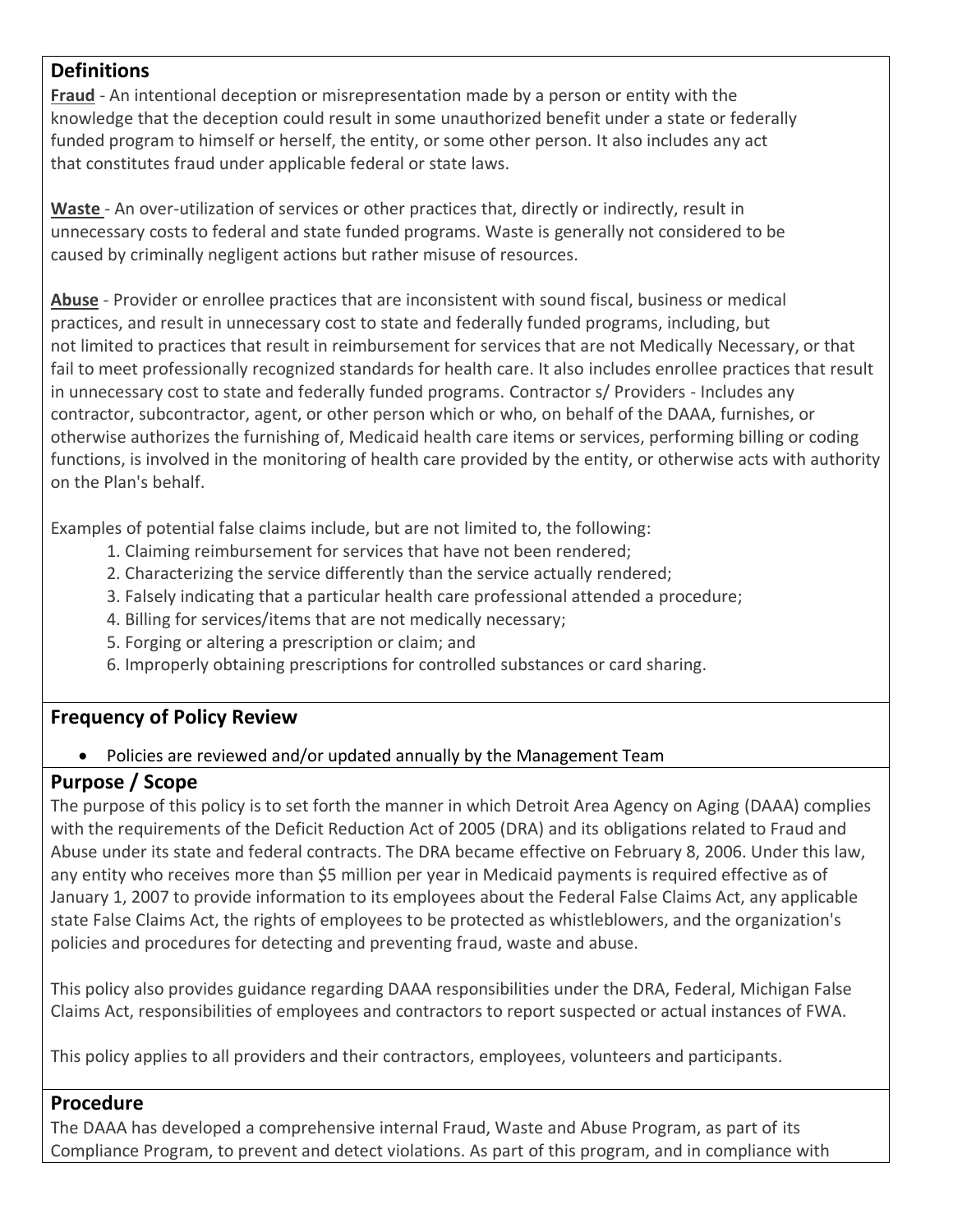#### **Definitions**

**Fraud** - An intentional deception or misrepresentation made by a person or entity with the knowledge that the deception could result in some unauthorized benefit under a state or federally funded program to himself or herself, the entity, or some other person. It also includes any act that constitutes fraud under applicable federal or state laws.

**Waste** - An over-utilization of services or other practices that, directly or indirectly, result in unnecessary costs to federal and state funded programs. Waste is generally not considered to be caused by criminally negligent actions but rather misuse of resources.

**Abuse** - Provider or enrollee practices that are inconsistent with sound fiscal, business or medical practices, and result in unnecessary cost to state and federally funded programs, including, but not limited to practices that result in reimbursement for services that are not Medically Necessary, or that fail to meet professionally recognized standards for health care. It also includes enrollee practices that result in unnecessary cost to state and federally funded programs. Contractor s/ Providers - Includes any contractor, subcontractor, agent, or other person which or who, on behalf of the DAAA, furnishes, or otherwise authorizes the furnishing of, Medicaid health care items or services, performing billing or coding functions, is involved in the monitoring of health care provided by the entity, or otherwise acts with authority on the Plan's behalf.

Examples of potential false claims include, but are not limited to, the following:

- 1. Claiming reimbursement for services that have not been rendered;
- 2. Characterizing the service differently than the service actually rendered;
- 3. Falsely indicating that a particular health care professional attended a procedure;
- 4. Billing for services/items that are not medically necessary;
- 5. Forging or altering a prescription or claim; and
- 6. Improperly obtaining prescriptions for controlled substances or card sharing.

## **Frequency of Policy Review**

## • Policies are reviewed and/or updated annually by the Management Team

# **Purpose / Scope**

The purpose of this policy is to set forth the manner in which Detroit Area Agency on Aging (DAAA) complies with the requirements of the Deficit Reduction Act of 2005 (DRA) and its obligations related to Fraud and Abuse under its state and federal contracts. The DRA became effective on February 8, 2006. Under this law, any entity who receives more than \$5 million per year in Medicaid payments is required effective as of January 1, 2007 to provide information to its employees about the Federal False Claims Act, any applicable state False Claims Act, the rights of employees to be protected as whistleblowers, and the organization's policies and procedures for detecting and preventing fraud, waste and abuse.

This policy also provides guidance regarding DAAA responsibilities under the DRA, Federal, Michigan False Claims Act, responsibilities of employees and contractors to report suspected or actual instances of FWA.

This policy applies to all providers and their contractors, employees, volunteers and participants.

## **Procedure**

The DAAA has developed a comprehensive internal Fraud, Waste and Abuse Program, as part of its Compliance Program, to prevent and detect violations. As part of this program, and in compliance with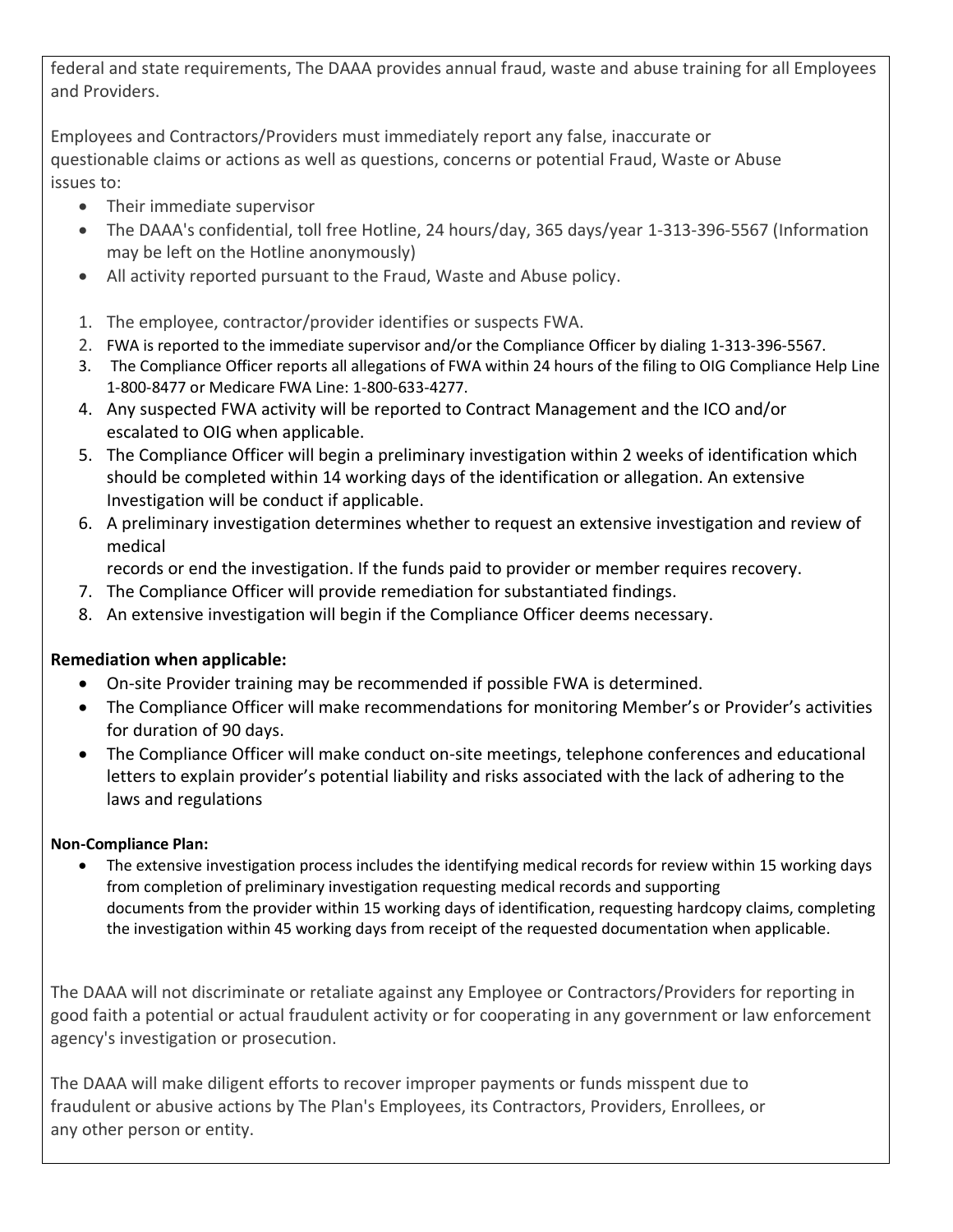federal and state requirements, The DAAA provides annual fraud, waste and abuse training for all Employees and Providers.

Employees and Contractors/Providers must immediately report any false, inaccurate or questionable claims or actions as well as questions, concerns or potential Fraud, Waste or Abuse issues to:

- Their immediate supervisor
- The DAAA's confidential, toll free Hotline, 24 hours/day, 365 days/year 1-313-396-5567 (Information may be left on the Hotline anonymously)
- All activity reported pursuant to the Fraud, Waste and Abuse policy.
- 1. The employee, contractor/provider identifies or suspects FWA.
- 2. FWA is reported to the immediate supervisor and/or the Compliance Officer by dialing 1-313-396-5567.
- 3. The Compliance Officer reports all allegations of FWA within 24 hours of the filing to OIG Compliance Help Line 1-800-8477 or Medicare FWA Line: 1-800-633-4277.
- 4. Any suspected FWA activity will be reported to Contract Management and the ICO and/or escalated to OIG when applicable.
- 5. The Compliance Officer will begin a preliminary investigation within 2 weeks of identification which should be completed within 14 working days of the identification or allegation. An extensive Investigation will be conduct if applicable.
- 6. A preliminary investigation determines whether to request an extensive investigation and review of medical

records or end the investigation. If the funds paid to provider or member requires recovery.

- 7. The Compliance Officer will provide remediation for substantiated findings.
- 8. An extensive investigation will begin if the Compliance Officer deems necessary.

#### **Remediation when applicable:**

- On-site Provider training may be recommended if possible FWA is determined.
- The Compliance Officer will make recommendations for monitoring Member's or Provider's activities for duration of 90 days.
- The Compliance Officer will make conduct on-site meetings, telephone conferences and educational letters to explain provider's potential liability and risks associated with the lack of adhering to the laws and regulations

#### **Non-Compliance Plan:**

• The extensive investigation process includes the identifying medical records for review within 15 working days from completion of preliminary investigation requesting medical records and supporting documents from the provider within 15 working days of identification, requesting hardcopy claims, completing the investigation within 45 working days from receipt of the requested documentation when applicable.

The DAAA will not discriminate or retaliate against any Employee or Contractors/Providers for reporting in good faith a potential or actual fraudulent activity or for cooperating in any government or law enforcement agency's investigation or prosecution.

The DAAA will make diligent efforts to recover improper payments or funds misspent due to fraudulent or abusive actions by The Plan's Employees, its Contractors, Providers, Enrollees, or any other person or entity.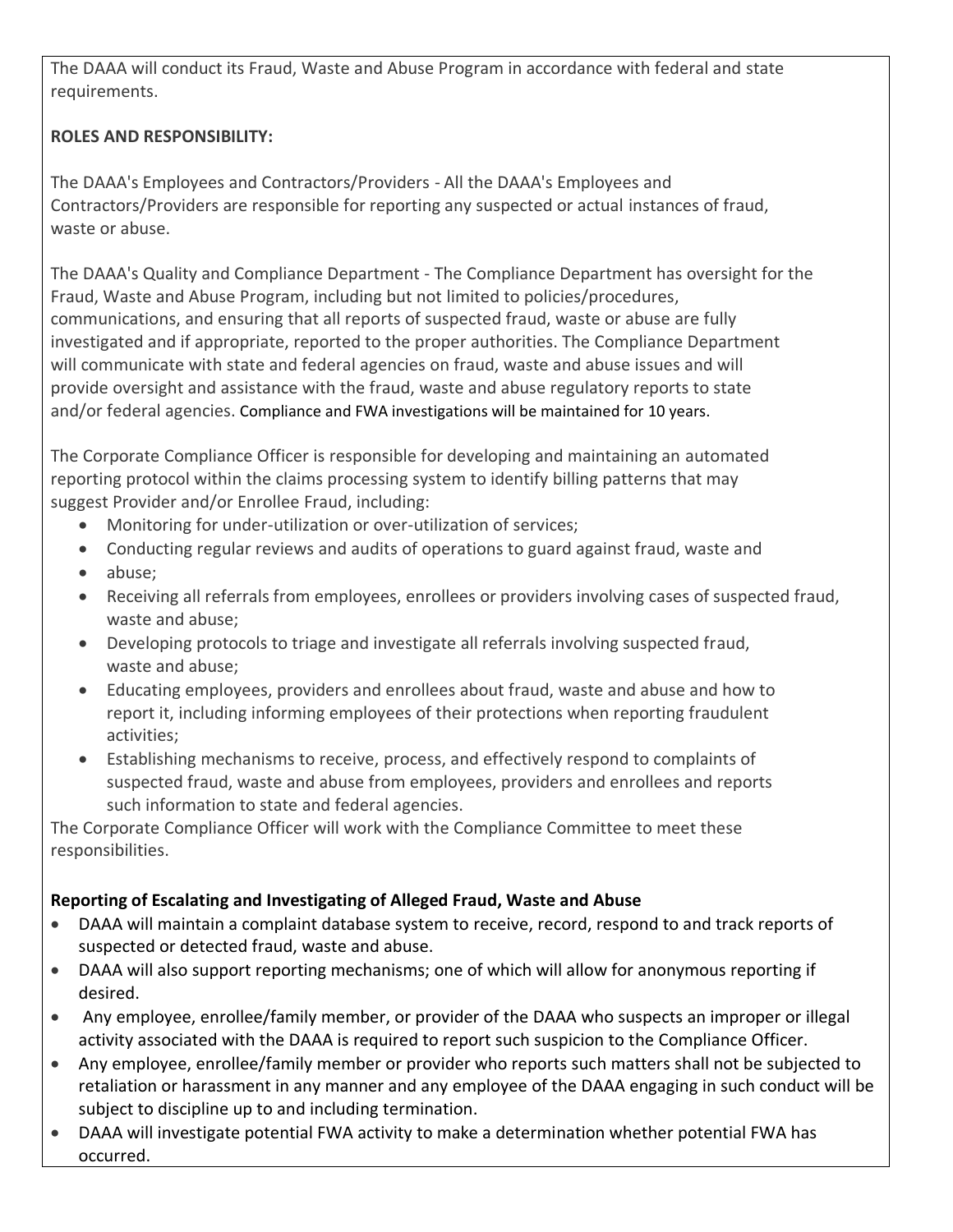The DAAA will conduct its Fraud, Waste and Abuse Program in accordance with federal and state requirements.

## **ROLES AND RESPONSIBILITY:**

The DAAA's Employees and Contractors/Providers - All the DAAA's Employees and Contractors/Providers are responsible for reporting any suspected or actual instances of fraud, waste or abuse.

The DAAA's Quality and Compliance Department - The Compliance Department has oversight for the Fraud, Waste and Abuse Program, including but not limited to policies/procedures, communications, and ensuring that all reports of suspected fraud, waste or abuse are fully investigated and if appropriate, reported to the proper authorities. The Compliance Department will communicate with state and federal agencies on fraud, waste and abuse issues and will provide oversight and assistance with the fraud, waste and abuse regulatory reports to state and/or federal agencies. Compliance and FWA investigations will be maintained for 10 years.

The Corporate Compliance Officer is responsible for developing and maintaining an automated reporting protocol within the claims processing system to identify billing patterns that may suggest Provider and/or Enrollee Fraud, including:

- Monitoring for under-utilization or over-utilization of services;
- Conducting regular reviews and audits of operations to guard against fraud, waste and
- abuse;
- Receiving all referrals from employees, enrollees or providers involving cases of suspected fraud, waste and abuse;
- Developing protocols to triage and investigate all referrals involving suspected fraud, waste and abuse;
- Educating employees, providers and enrollees about fraud, waste and abuse and how to report it, including informing employees of their protections when reporting fraudulent activities;
- Establishing mechanisms to receive, process, and effectively respond to complaints of suspected fraud, waste and abuse from employees, providers and enrollees and reports such information to state and federal agencies.

The Corporate Compliance Officer will work with the Compliance Committee to meet these responsibilities.

## **Reporting of Escalating and Investigating of Alleged Fraud, Waste and Abuse**

- DAAA will maintain a complaint database system to receive, record, respond to and track reports of suspected or detected fraud, waste and abuse.
- DAAA will also support reporting mechanisms; one of which will allow for anonymous reporting if desired.
- Any employee, enrollee/family member, or provider of the DAAA who suspects an improper or illegal activity associated with the DAAA is required to report such suspicion to the Compliance Officer.
- Any employee, enrollee/family member or provider who reports such matters shall not be subjected to retaliation or harassment in any manner and any employee of the DAAA engaging in such conduct will be subject to discipline up to and including termination.
- DAAA will investigate potential FWA activity to make a determination whether potential FWA has occurred.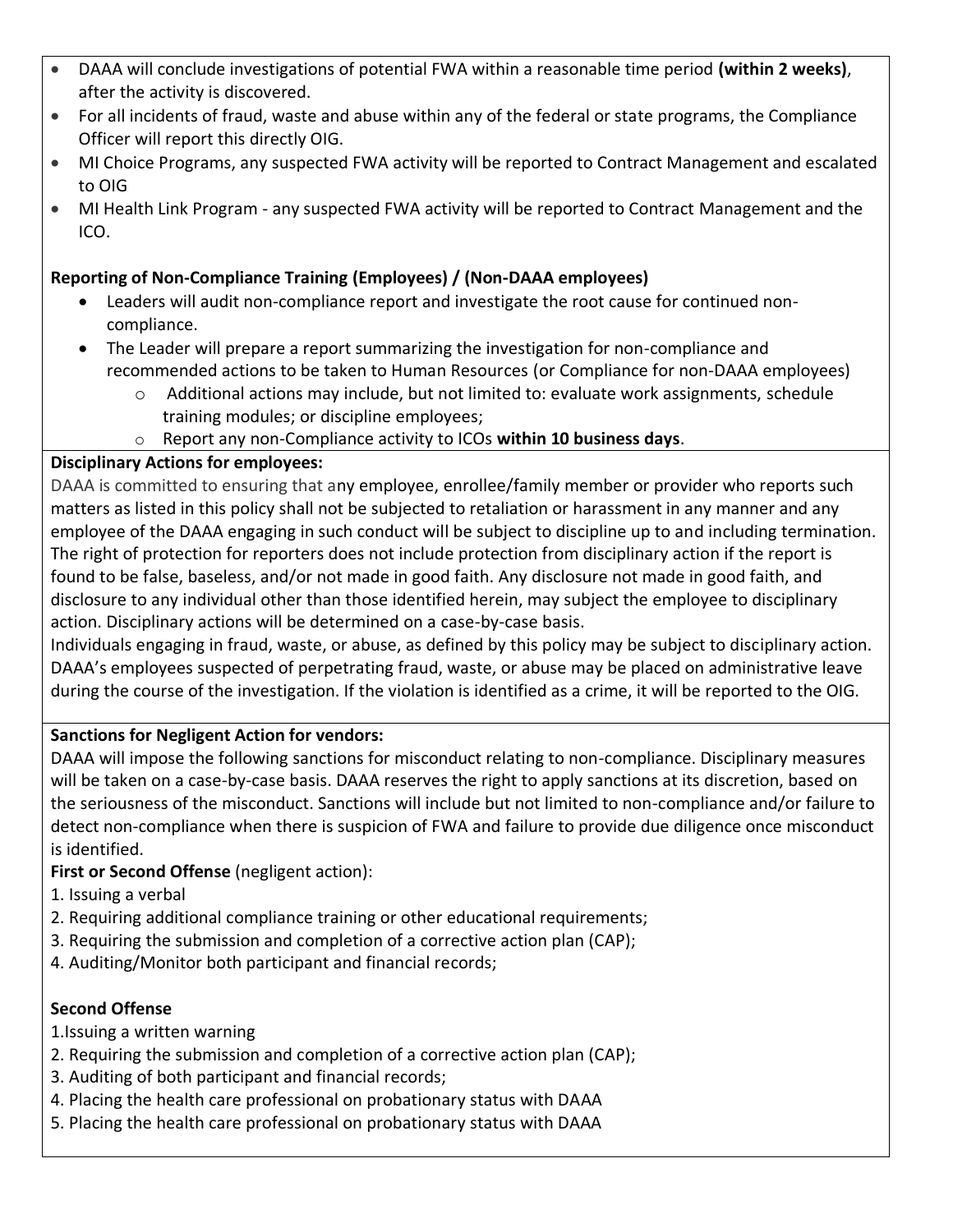- DAAA will conclude investigations of potential FWA within a reasonable time period **(within 2 weeks)**, after the activity is discovered.
- For all incidents of fraud, waste and abuse within any of the federal or state programs, the Compliance Officer will report this directly OIG.
- MI Choice Programs, any suspected FWA activity will be reported to Contract Management and escalated to OIG
- MI Health Link Program any suspected FWA activity will be reported to Contract Management and the ICO.

#### **Reporting of Non-Compliance Training (Employees) / (Non-DAAA employees)**

- Leaders will audit non-compliance report and investigate the root cause for continued noncompliance.
- The Leader will prepare a report summarizing the investigation for non-compliance and recommended actions to be taken to Human Resources (or Compliance for non-DAAA employees)
	- o Additional actions may include, but not limited to: evaluate work assignments, schedule training modules; or discipline employees;
	- o Report any non-Compliance activity to ICOs **within 10 business days**.

#### **Disciplinary Actions for employees:**

DAAA is committed to ensuring that any employee, enrollee/family member or provider who reports such matters as listed in this policy shall not be subjected to retaliation or harassment in any manner and any employee of the DAAA engaging in such conduct will be subject to discipline up to and including termination. The right of protection for reporters does not include protection from disciplinary action if the report is found to be false, baseless, and/or not made in good faith. Any disclosure not made in good faith, and disclosure to any individual other than those identified herein, may subject the employee to disciplinary action. Disciplinary actions will be determined on a case-by-case basis.

Individuals engaging in fraud, waste, or abuse, as defined by this policy may be subject to disciplinary action. DAAA's employees suspected of perpetrating fraud, waste, or abuse may be placed on administrative leave during the course of the investigation. If the violation is identified as a crime, it will be reported to the OIG.

## **Sanctions for Negligent Action for vendors:**

DAAA will impose the following sanctions for misconduct relating to non-compliance. Disciplinary measures will be taken on a case-by-case basis. DAAA reserves the right to apply sanctions at its discretion, based on the seriousness of the misconduct. Sanctions will include but not limited to non-compliance and/or failure to detect non-compliance when there is suspicion of FWA and failure to provide due diligence once misconduct is identified.

## **First or Second Offense** (negligent action):

- 1. Issuing a verbal
- 2. Requiring additional compliance training or other educational requirements;
- 3. Requiring the submission and completion of a corrective action plan (CAP);
- 4. Auditing/Monitor both participant and financial records;

#### **Second Offense**

- 1.Issuing a written warning
- 2. Requiring the submission and completion of a corrective action plan (CAP);
- 3. Auditing of both participant and financial records;
- 4. Placing the health care professional on probationary status with DAAA
- 5. Placing the health care professional on probationary status with DAAA